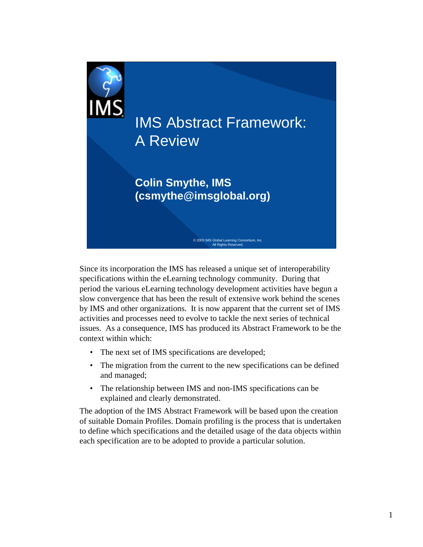

Since its incorporation the IMS has released a unique set of interoperability specifications within the eLearning technology community. During that period the various eLearning technology development activities have begun a slow convergence that has been the result of extensive work behind the scenes by IMS and other organizations. It is now apparent that the current set of IMS activities and processes need to evolve to tackle the next series of technical issues. As a consequence, IMS has produced its Abstract Framework to be the context within which:

- The next set of IMS specifications are developed;
- The migration from the current to the new specifications can be defined and managed;
- The relationship between IMS and non-IMS specifications can be explained and clearly demonstrated.

The adoption of the IMS Abstract Framework will be based upon the creation of suitable Domain Profiles. Domain profiling is the process that is undertaken to define which specifications and the detailed usage of the data objects within each specification are to be adopted to provide a particular solution.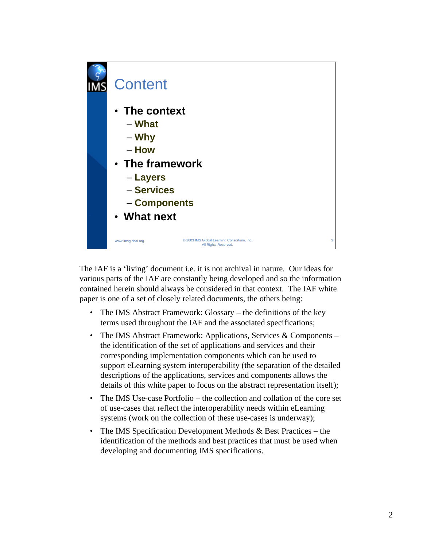

The IAF is a 'living' document i.e. it is not archival in nature. Our ideas for various parts of the IAF are constantly being developed and so the information contained herein should always be considered in that context. The IAF white paper is one of a set of closely related documents, the others being:

- The IMS Abstract Framework: Glossary the definitions of the key terms used throughout the IAF and the associated specifications;
- The IMS Abstract Framework: Applications, Services & Components the identification of the set of applications and services and their corresponding implementation components which can be used to support eLearning system interoperability (the separation of the detailed descriptions of the applications, services and components allows the details of this white paper to focus on the abstract representation itself);
- The IMS Use-case Portfolio the collection and collation of the core set of use-cases that reflect the interoperability needs within eLearning systems (work on the collection of these use-cases is underway);
- The IMS Specification Development Methods & Best Practices the identification of the methods and best practices that must be used when developing and documenting IMS specifications.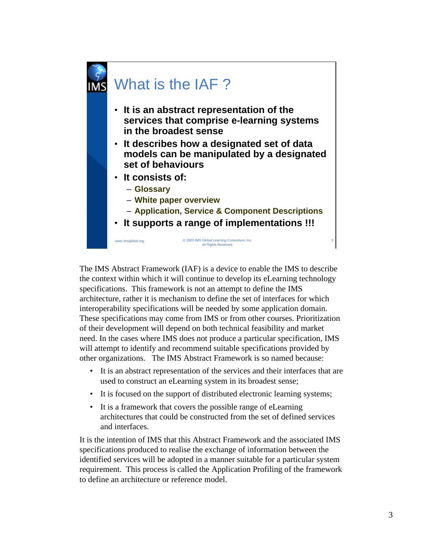

The IMS Abstract Framework (IAF) is a device to enable the IMS to describe the context within which it will continue to develop its eLearning technology specifications. This framework is not an attempt to define the IMS architecture, rather it is mechanism to define the set of interfaces for which interoperability specifications will be needed by some application domain. These specifications may come from IMS or from other courses. Prioritization of their development will depend on both technical feasibility and market need. In the cases where IMS does not produce a particular specification, IMS will attempt to identify and recommend suitable specifications provided by other organizations. The IMS Abstract Framework is so named because:

- It is an abstract representation of the services and their interfaces that are used to construct an eLearning system in its broadest sense;
- It is focused on the support of distributed electronic learning systems;
- It is a framework that covers the possible range of eLearning architectures that could be constructed from the set of defined services and interfaces.

It is the intention of IMS that this Abstract Framework and the associated IMS specifications produced to realise the exchange of information between the identified services will be adopted in a manner suitable for a particular system requirement. This process is called the Application Profiling of the framework to define an architecture or reference model.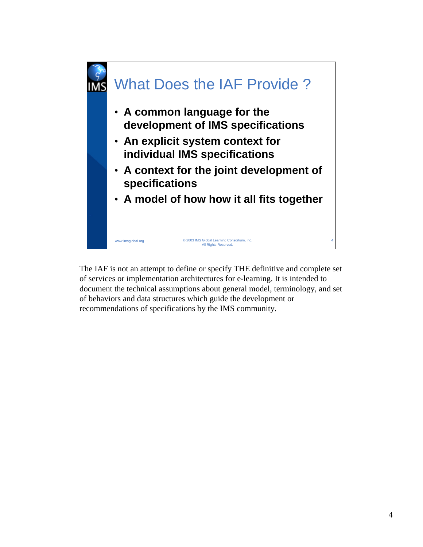

The IAF is not an attempt to define or specify THE definitive and complete set of services or implementation architectures for e-learning. It is intended to document the technical assumptions about general model, terminology, and set of behaviors and data structures which guide the development or recommendations of specifications by the IMS community.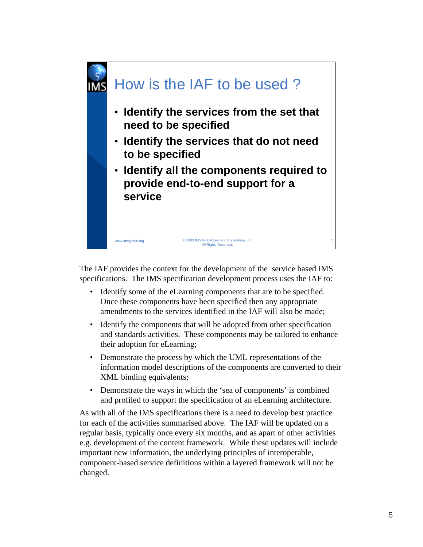

The IAF provides the context for the development of the service based IMS specifications. The IMS specification development process uses the IAF to:

- Identify some of the eLearning components that are to be specified. Once these components have been specified then any appropriate amendments to the services identified in the IAF will also be made;
- Identify the components that will be adopted from other specification and standards activities. These components may be tailored to enhance their adoption for eLearning;
- Demonstrate the process by which the UML representations of the information model descriptions of the components are converted to their XML binding equivalents;
- Demonstrate the ways in which the 'sea of components' is combined and profiled to support the specification of an eLearning architecture.

As with all of the IMS specifications there is a need to develop best practice for each of the activities summarised above. The IAF will be updated on a regular basis, typically once every six months, and as apart of other activities e.g. development of the content framework. While these updates will include important new information, the underlying principles of interoperable, component-based service definitions within a layered framework will not be changed.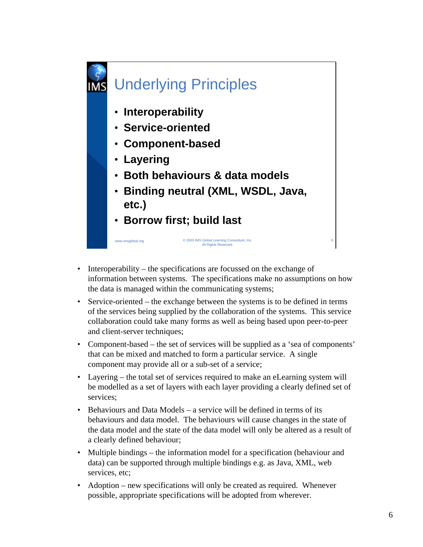

- Interoperability the specifications are focussed on the exchange of information between systems. The specifications make no assumptions on how the data is managed within the communicating systems;
- Service-oriented the exchange between the systems is to be defined in terms of the services being supplied by the collaboration of the systems. This service collaboration could take many forms as well as being based upon peer-to-peer and client-server techniques;
- Component-based the set of services will be supplied as a 'sea of components' that can be mixed and matched to form a particular service. A single component may provide all or a sub-set of a service;
- Layering the total set of services required to make an eLearning system will be modelled as a set of layers with each layer providing a clearly defined set of services;
- Behaviours and Data Models a service will be defined in terms of its behaviours and data model. The behaviours will cause changes in the state of the data model and the state of the data model will only be altered as a result of a clearly defined behaviour;
- Multiple bindings the information model for a specification (behaviour and data) can be supported through multiple bindings e.g. as Java, XML, web services, etc;
- Adoption new specifications will only be created as required. Whenever possible, appropriate specifications will be adopted from wherever.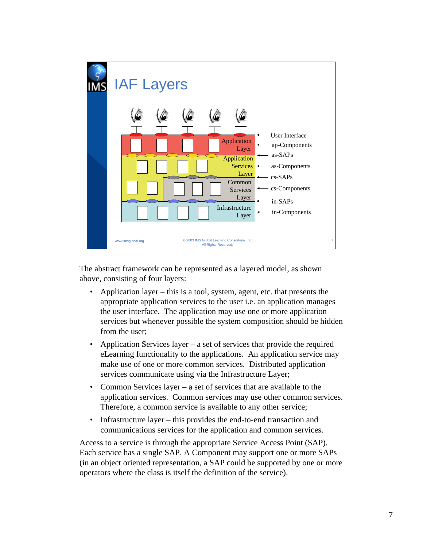

The abstract framework can be represented as a layered model, as shown above, consisting of four layers:

- Application layer this is a tool, system, agent, etc. that presents the appropriate application services to the user i.e. an application manages the user interface. The application may use one or more application services but whenever possible the system composition should be hidden from the user;
- Application Services layer a set of services that provide the required eLearning functionality to the applications. An application service may make use of one or more common services. Distributed application services communicate using via the Infrastructure Layer;
- Common Services layer a set of services that are available to the application services. Common services may use other common services. Therefore, a common service is available to any other service;
- Infrastructure layer this provides the end-to-end transaction and communications services for the application and common services.

Access to a service is through the appropriate Service Access Point (SAP). Each service has a single SAP. A Component may support one or more SAPs (in an object oriented representation, a SAP could be supported by one or more operators where the class is itself the definition of the service).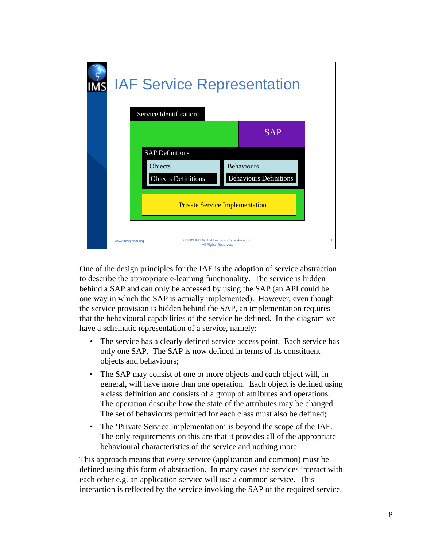| <b>IAF Service Representation</b><br>Service Identification                                                                   |                               |
|-------------------------------------------------------------------------------------------------------------------------------|-------------------------------|
|                                                                                                                               | <b>SAP</b>                    |
| <b>SAP Definitions</b><br><b>Behaviours</b><br>Objects<br><b>Objects Definitions</b><br><b>Private Service Implementation</b> | <b>Behaviours Definitions</b> |
| © 2003 IMS Global Learning Consortium, Inc.<br>www.imsglobal.org<br>All Rights Reserved.                                      | 8                             |

One of the design principles for the IAF is the adoption of service abstraction to describe the appropriate e-learning functionality. The service is hidden behind a SAP and can only be accessed by using the SAP (an API could be one way in which the SAP is actually implemented). However, even though the service provision is hidden behind the SAP, an implementation requires that the behavioural capabilities of the service be defined. In the diagram we have a schematic representation of a service, namely:

- The service has a clearly defined service access point. Each service has only one SAP. The SAP is now defined in terms of its constituent objects and behaviours;
- The SAP may consist of one or more objects and each object will, in general, will have more than one operation. Each object is defined using a class definition and consists of a group of attributes and operations. The operation describe how the state of the attributes may be changed. The set of behaviours permitted for each class must also be defined;
- The 'Private Service Implementation' is beyond the scope of the IAF. The only requirements on this are that it provides all of the appropriate behavioural characteristics of the service and nothing more.

This approach means that every service (application and common) must be defined using this form of abstraction. In many cases the services interact with each other e.g. an application service will use a common service. This interaction is reflected by the service invoking the SAP of the required service.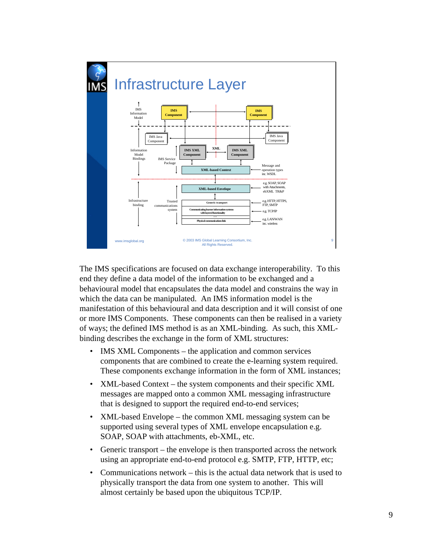

The IMS specifications are focused on data exchange interoperability. To this end they define a data model of the information to be exchanged and a behavioural model that encapsulates the data model and constrains the way in which the data can be manipulated. An IMS information model is the manifestation of this behavioural and data description and it will consist of one or more IMS Components. These components can then be realised in a variety of ways; the defined IMS method is as an XML-binding. As such, this XMLbinding describes the exchange in the form of XML structures:

- IMS XML Components the application and common services components that are combined to create the e-learning system required. These components exchange information in the form of XML instances;
- XML-based Context the system components and their specific XML messages are mapped onto a common XML messaging infrastructure that is designed to support the required end-to-end services;
- XML-based Envelope the common XML messaging system can be supported using several types of XML envelope encapsulation e.g. SOAP, SOAP with attachments, eb-XML, etc.
- Generic transport the envelope is then transported across the network using an appropriate end-to-end protocol e.g. SMTP, FTP, HTTP, etc;
- Communications network this is the actual data network that is used to physically transport the data from one system to another. This will almost certainly be based upon the ubiquitous TCP/IP.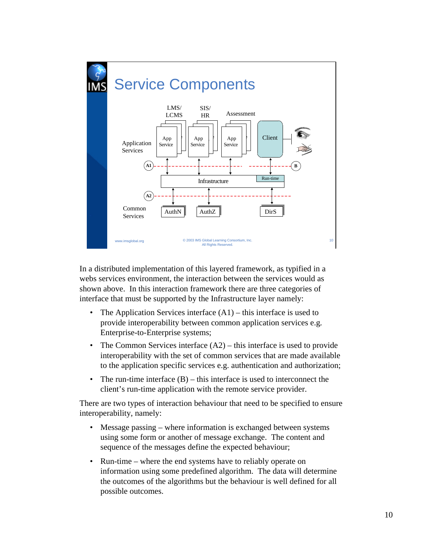

In a distributed implementation of this layered framework, as typified in a webs services environment, the interaction between the services would as shown above. In this interaction framework there are three categories of interface that must be supported by the Infrastructure layer namely:

- The Application Services interface  $(A1)$  this interface is used to provide interoperability between common application services e.g. Enterprise-to-Enterprise systems;
- The Common Services interface  $(A2)$  this interface is used to provide interoperability with the set of common services that are made available to the application specific services e.g. authentication and authorization;
- The run-time interface  $(B)$  this interface is used to interconnect the client's run-time application with the remote service provider.

There are two types of interaction behaviour that need to be specified to ensure interoperability, namely:

- Message passing where information is exchanged between systems using some form or another of message exchange. The content and sequence of the messages define the expected behaviour;
- Run-time where the end systems have to reliably operate on information using some predefined algorithm. The data will determine the outcomes of the algorithms but the behaviour is well defined for all possible outcomes.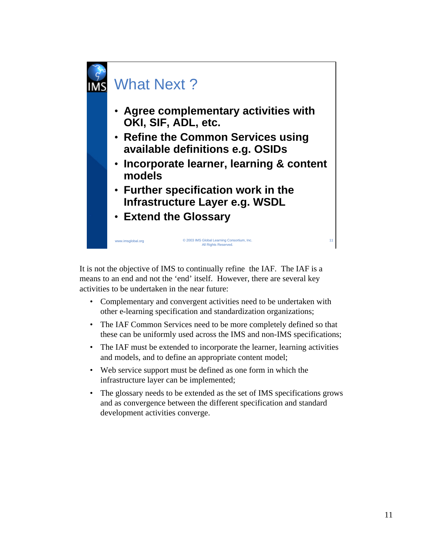

It is not the objective of IMS to continually refine the IAF. The IAF is a means to an end and not the 'end' itself. However, there are several key activities to be undertaken in the near future:

- Complementary and convergent activities need to be undertaken with other e-learning specification and standardization organizations;
- The IAF Common Services need to be more completely defined so that these can be uniformly used across the IMS and non-IMS specifications;
- The IAF must be extended to incorporate the learner, learning activities and models, and to define an appropriate content model;
- Web service support must be defined as one form in which the infrastructure layer can be implemented;
- The glossary needs to be extended as the set of IMS specifications grows and as convergence between the different specification and standard development activities converge.